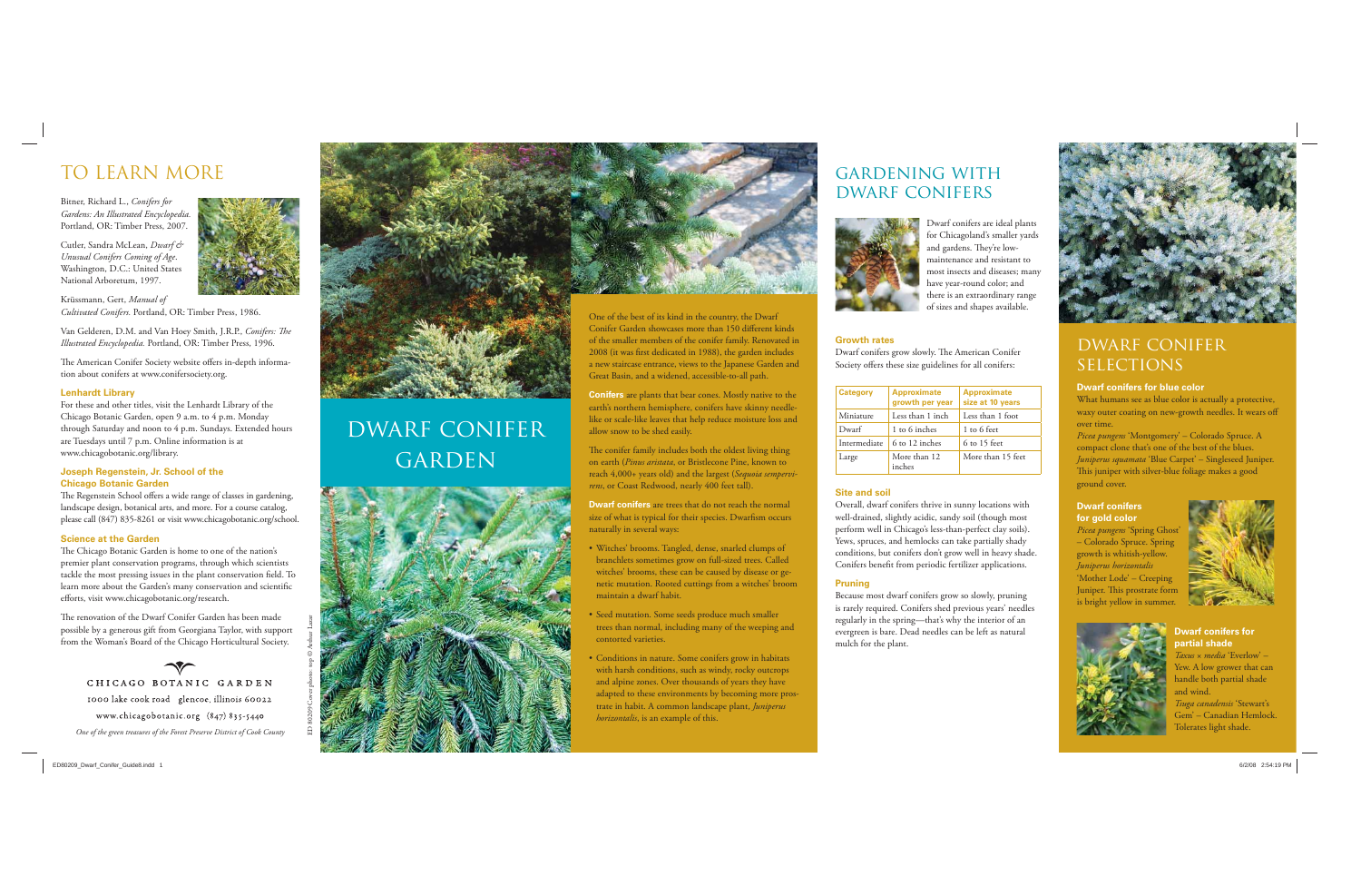

One of the best of its kind in the country, the Dwarf Conifer Garden showcases more than 150 different kinds of the smaller members of the conifer family. Renovated in 2008 (it was first dedicated in 1988), the garden includes a new staircase entrance, views to the Japanese Garden and Great Basin, and a widened, accessible-to-all path.

The conifer family includes both the oldest living thing on earth (*Pinus aristata*, or Bristlecone Pine, known to reach 4,000+ years old) and the largest (*Sequoia sempervirens*, or Coast Redwood, nearly 400 feet tall).

**Conifers** are plants that bear cones. Mostly native to the earth's northern hemisphere, conifers have skinny needlelike or scale-like leaves that help reduce moisture loss and allow snow to be shed easily.

**Dwarf conifers** are trees that do not reach the normal size of what is typical for their species. Dwarfism occurs naturally in several ways:

Van Gelderen, D.M. and Van Hoey Smith, J.R.P., *Conifers: The Illustrated Encyclopedia.* Portland, OR: Timber Press, 1996.

The American Conifer Society website offers in-depth information about conifers at www.conifersociety.org.

- Witches' brooms. Tangled, dense, snarled clumps of branchlets sometimes grow on full-sized trees. Called witches' brooms, these can be caused by disease or genetic mutation. Rooted cuttings from a witches' broom maintain a dwarf habit.
- Seed mutation. Some seeds produce much smaller trees than normal, including many of the weeping and contorted varieties.
- Conditions in nature. Some conifers grow in habitats with harsh conditions, such as windy, rocky outcrops and alpine zones. Over thousands of years they have adapted to these environments by becoming more prostrate in habit. A common landscape plant, *Juniperus horizontalis*, is an example of this.

The Regenstein School offers a wide range of classes in gardening, landscape design, botanical arts, and more. For a course catalog, <sup>p</sup>lease call (847) 835-8261 or visit www.chicagobotanic.org/school.

The renovation of the Dwarf Conifer Garden has been made possible by a generous gift from Georgiana Taylor, with support from the Woman's Board of the Chicago Horticultural Society.

# TO LEARN MORE

CHICAGO BOTANIC GARDEN 1000 lake cook road glencoe, illinois 60022 www.chicagobotanic.org (847) 835-5440 *One of the green treasures of the Forest Preserve District of Cook County*



Bitner, Richard L., *Conifers for Gardens: An Illustrated Encyclopedia.* Portland, OR: Timber Press, 2007.

Cutler, Sandra McLean, *Dwarf & Unusual Conifers Coming of Age*. Washington, D.C.: United States National Arboretum, 1997.



Krüssmann, Gert, *Manual of Cultivated Conifers.* Portland, OR: Timber Press, 1986.

> Overall, dwarf conifers thrive in sunny locations with well-drained, slightly acidic, sandy soil (though most perform well in Chicago's less-than-perfect clay soils). Yews, spruces, and hemlocks can take partially shady conditions, but conifers don't grow well in heavy shade. Conifers benefit from periodic fertilizer applications.

### **Lenhardt Library**

For these and other titles, visit the Lenhardt Library of the Chicago Botanic Garden, open 9 a.m. to 4 p.m. Monday through Saturday and noon to 4 p.m. Sundays. Extended hours are Tuesdays until 7 p.m. Online information is at www.chicagobotanic.org/library.

## **Joseph Regenstein, Jr. School of the Chicago Botanic Garden**

## dwarf conifer **SELECTIONS**

## **Science at the Garden**

The Chicago Botanic Garden is home to one of the nation's premier plant conservation programs, through which scientists tackle the most pressing issues in the plant conservation field. To learn more about the Garden's many conservation and scientific efforts, visit www.chicagobotanic.org/research.

Dwarf conifers are ideal plants for Chicagoland's smaller yards and gardens. They're lowmaintenance and resistant to most insects and diseases; many have year-round color; and there is an extraordinary range of sizes and shapes available.



## **Growth rates**

Dwarf conifers grow slowly. The American Conifer Society offers these size guidelines for all conifers:

| <b>Category</b> | <b>Approximate</b><br>growth per year | <b>Approximate</b><br>size at 10 years |
|-----------------|---------------------------------------|----------------------------------------|
| Miniature       | Less than 1 inch                      | Less than 1 foot                       |
| Dwarf           | 1 to 6 inches                         | 1 to 6 feet                            |
| Intermediate    | 6 to 12 inches                        | $6$ to 15 feet                         |
| Large           | More than 12<br>inches                | More than 15 feet                      |

## **Site and soil**

#### **Pruning**

Because most dwarf conifers grow so slowly, pruning is rarely required. Conifers shed previous years' needles regularly in the spring—that's why the interior of an evergreen is bare. Dead needles can be left as natural mulch for the plant.

### **Dwarf conifers for blue color**

What humans see as blue color is actually a protective, waxy outer coating on new-growth needles. It wears off over time.

*Picea pungens* 'Montgomery' – Colorado Spruce. A compact clone that's one of the best of the blues. *Juniperus squamata* 'Blue Carpet' – Singleseed Juniper. This juniper with silver-blue foliage makes a good ground cover.

## **Dwarf conifers for gold color**

*Picea pungens* 'Spring Ghost' – Colorado Spruce. Spring growth is whitish-yellow. *Juniperus horizontalis* 'Mother Lode' – Creeping Juniper. This prostrate form is bright yellow in summer.



## **Dwarf conifers for partial shade**

*Taxus* <sup>×</sup>*media* 'Everlow' – Yew. A low grower that can handle both partial shade and wind. *Tsuga canadensis* 'Stewart's Gem' – Canadian Hemlock. Tolerates light shade.



## gardening with dwarf conifers